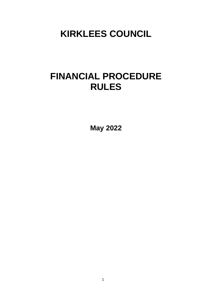# **KIRKLEES COUNCIL**

# **FINANCIAL PROCEDURE RULES**

**May 2022**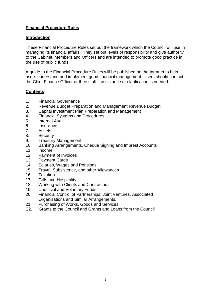## **Financial Procedure Rules**

#### **Introduction**

These Financial Procedure Rules set out the framework which the Council will use in managing its financial affairs. They set out levels of responsibility and give authority to the Cabinet, Members and Officers and are intended to promote good practice in the use of public funds.

A guide to the Financial Procedure Rules will be published on the Intranet to help users understand and implement good financial management. Users should contact the Chief Finance Officer or their staff if assistance or clarification is needed.

## **Contents**

- 1. Financial Governance
- 2. Revenue Budget Preparation and Management Revenue Budget
- 3. Capital Investment Plan Preparation and Management
- 4. Financial Systems and Procedures
- 5. Internal Audit
- 6. Insurance
- 7. Assets
- 8. Security
- 9. Treasury Management
- 10. Banking Arrangements, Cheque Signing and Imprest Accounts
- 11. Income
- 12. Payment of Invoices
- 13. Payment Cards
- 14. Salaries, Wages and Pensions
- 15. Travel, Subsistence, and other Allowances
- 16. Taxation
- 17. Gifts and Hospitality
- 18. Working with Clients and Contractors
- 19. Unofficial and Voluntary Funds
- 20. Financial Control of Partnerships, Joint Ventures, Associated Organisations and Similar Arrangements.
- 21. Purchasing of Works, Goods and Services
- 22. Grants to the Council and Grants and Loans from the Council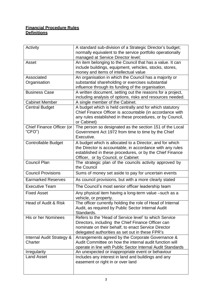## **Financial Procedure Rules Definitions**

| Activity                             | A standard sub-division of a Strategic Director's budget;<br>normally equivalent to the service portfolio operationally<br>managed at Service Director level;                                                           |
|--------------------------------------|-------------------------------------------------------------------------------------------------------------------------------------------------------------------------------------------------------------------------|
| Asset                                | An item belonging to the Council that has a value. It can<br>include buildings, equipment, vehicles, stocks, stores,<br>money and items of intellectual value                                                           |
| Associated<br>Organisation           | An organisation in which the Council has a majority or<br>substantial shareholding or exercises substantial<br>influence through its funding of the organisation.                                                       |
| <b>Business Case</b>                 | A written document, setting out the reasons for a project,<br>including analysis of options, risks and resources needed.                                                                                                |
| <b>Cabinet Member</b>                | A single member of the Cabinet.                                                                                                                                                                                         |
| <b>Central Budget</b>                | A budget which is held centrally and for which statutory<br>Chief Finance Officer is accountable (in accordance with<br>any rules established in these procedures, or by Council,<br>or Cabinet)                        |
| Chief Finance Officer (or<br>CFO'    | The person so designated as the section 151 of the Local<br>Government Act 1972 from time to time by the Chief<br>Executive.                                                                                            |
| <b>Controllable Budget</b>           | A budget which is allocated to a Director, and for which<br>the Director is accountable, in accordance with any rules<br>established in these procedures, or by the Chief Finance<br>Officer, or by Council, or Cabinet |
| <b>Council Plan</b>                  | The strategic plan of the councils activity approved by<br>the Council                                                                                                                                                  |
| <b>Council Provisions</b>            | Sums of money set aside to pay for uncertain events                                                                                                                                                                     |
| <b>Earmarked Reserves</b>            | As council provisions, but with a more clearly stated                                                                                                                                                                   |
| <b>Executive Team</b>                | The Council's most senior officer leadership team                                                                                                                                                                       |
| <b>Fixed Asset</b>                   | Any physical item having a long-term value -such as a<br>vehicle, or property.                                                                                                                                          |
| Head of Audit & Risk                 | The officer currently holding the role of Head of Internal<br>Audit, as required by Public Sector Internal Audit<br>Standards.                                                                                          |
| His or her Nominees                  | Refers to the 'Head of Service level' to which Service<br>Directors, including the Chief Finance Officer can<br>nominate on their behalf, to enact Service Director<br>delegated authorities as set out in these FPR's  |
| Internal Audit Strategy &<br>Charter | Arrangements agreed by the Corporate Governance &<br>Audit Committee on how the internal audit function will<br>operate in line with Public Sector Internal Audit Standards                                             |
| <b>Irregularity</b>                  | An unexpected or inappropriate event or behaviour                                                                                                                                                                       |
| <b>Land Asset</b>                    | Includes any interest in land and buildings and any<br>easement or right in or over land                                                                                                                                |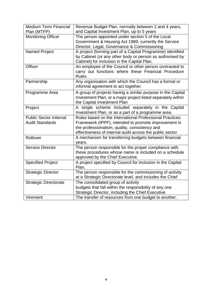| <b>Medium Term Financial</b>  | Revenue Budget Plan, normally between 2 and 4 years,         |
|-------------------------------|--------------------------------------------------------------|
| Plan (MTFP)                   | and Capital Investment Plan, up to 5 years                   |
| <b>Monitoring Officer</b>     | The person appointed under section 5 of the Local            |
|                               | Government & Housing Act 1989, currently the Service         |
|                               | Director, Legal, Governance & Commissioning                  |
| <b>Named Project</b>          | A project (forming part of a Capital Programme) identified   |
|                               | by Cabinet (or any other body or person so authorised by     |
|                               | Cabinet) for inclusion in the Capital Plan.                  |
| Officer                       | An employee of the Council or other person contracted to     |
|                               | carry out functions where these Financial Procedure          |
|                               | <b>Rules</b>                                                 |
| Partnership                   | Any organisation with which the Council has a formal or      |
|                               | informal agreement to act together.                          |
| Programme Area                | A group of projects having a similar purpose in the Capital  |
|                               | Investment Plan, or a major project listed separately within |
|                               |                                                              |
|                               | the Capital investment Plan                                  |
| Project                       | A single scheme included separately in the Capital           |
|                               | Investment Plan, or as a part of a programme area.           |
| <b>Public Sector Internal</b> | Rules based on the International Professional Practices      |
| <b>Audit Standards</b>        | Framework (IPPF), intended to promote improvement in         |
|                               | the professionalism, quality, consistency and                |
|                               | effectiveness of internal audit across the public sector     |
| Rollover                      | A mechanism for transferring budgets between financial       |
|                               | years.                                                       |
| <b>Service Director</b>       | The person responsible for the proper compliance with        |
|                               | these procedures whose name is included on a schedule        |
|                               | approved by the Chief Executive.                             |
| <b>Specified Project</b>      | A project specified by Council for inclusion in the Capital  |
|                               | Plan.                                                        |
| <b>Strategic Director</b>     | The person responsible for the commissioning of activity     |
|                               | at a Strategic Directorate level, and includes the Chief     |
| <b>Strategic Directorate</b>  | The consolidated group of activity                           |
|                               | budgets that fall within the responsibility of any one       |
|                               | Strategic Director, including the Chief Executive            |
| Virement                      | The transfer of resources from one budget to another.        |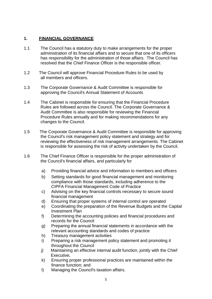## **1. FINANCIAL GOVERNANCE**

- 1.1 The Council has a statutory duty to make arrangements for the proper administration of its financial affairs and to secure that one of its officers has responsibility for the administration of those affairs. The Council has resolved that the Chief Finance Officer is the responsible officer*.*
- 1.2 The Council will approve Financial Procedure Rules to be used by all members and officers.
- 1.3 The Corporate Governance & Audit Committee is responsible for approving the Council's Annual Statement of Accounts
- 1.4 The Cabinet is responsible for ensuring that the Financial Procedure Rules are followed across the Council. The Corporate Governance & Audit Committee is also responsible for reviewing the Financial Procedure Rules annually and for making recommendations for any changes to the Council.
- 1.5 The Corporate Governance & Audit Committee is responsible for approving the Council's risk management policy statement and strategy and for reviewing the effectiveness of risk management arrangements. The Cabinet is responsible for assessing the risk of activity undertaken by the Council.
- 1.6 The Chief Finance Officer is responsible for the proper administration of the Council's financial affairs, and particularly for
	- a) Providing financial advice and information to members and officers
	- b) Setting standards for good financial management and monitoring compliance with those standards, including adherence to the CIPFA Financial Management Code of Practice
	- c) Advising on the key financial controls necessary to secure sound financial management
	- d) Ensuring that proper systems of internal control are operated
	- e) Coordinating the preparation of the Revenue Budgets and the Capital Investment Plan
	- f) Determining the accounting policies and financial procedures and records for the Council
	- g) Preparing the annual financial statements in accordance with the relevant accounting standards and codes of practice
	- h) Treasury management activities
	- i) Preparing a risk management policy statement and promoting it throughout the Council
	- j) Maintaining an effective internal audit function, jointly with the Chief Executive,
	- k) Ensuring proper professional practices are maintained within the finance function; and
	- l) Managing the Council's taxation affairs.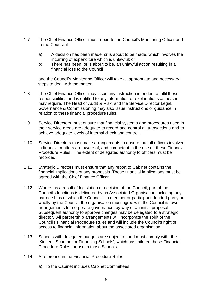- 1.7 The Chief Finance Officer must report to the Council's Monitoring Officer and to the Council if
	- a) A decision has been made, or is about to be made, which involves the incurring of expenditure which is unlawful; or
	- b) There has been, or is about to be, an unlawful action resulting in a financial loss to the Council

and the Council's Monitoring Officer will take all appropriate and necessary steps to deal with the matter.

- 1.8 The Chief Finance Officer may issue any instruction intended to fulfil these responsibilities and is entitled to any information or explanations as he/she may require. The Head of Audit & Risk, and the Service Director Legal, Governance & Commissioning may also issue instructions or guidance in relation to these financial procedure rules.
- 1.9 Service Directors must ensure that financial systems and procedures used in their service areas are adequate to record and control all transactions and to achieve adequate levels of internal check and control.
- 1.10 Service Directors must make arrangements to ensure that all officers involved in financial matters are aware of, and competent in the use of, these Financial Procedure Rules. The extent of delegated authority to officers must be recorded.
- 1.11 Strategic Directors must ensure that any report to Cabinet contains the financial implications of any proposals. These financial implications must be agreed with the Chief Finance Officer.
- 1.12 Where, as a result of legislation or decision of the Council, part of the Council's functions is delivered by an Associated Organisation including any partnerships of which the Council is a member or participant, funded partly or wholly by the Council, the organisation must agree with the Council its own arrangements for corporate governance, by way of an initial proposal. Subsequent authority to approve changes may be delegated to a strategic director. All partnership arrangements will incorporate the spirit of the Council's Financial Procedure Rules and will include the Council's right of access to financial information about the associated organisation.
- 1.13 Schools with delegated budgets are subject to, and must comply with, the 'Kirklees Scheme for Financing Schools', which has tailored these Financial Procedure Rules for use in those Schools.
- 1.14 A reference in the Financial Procedure Rules
	- a) To the Cabinet includes Cabinet Committees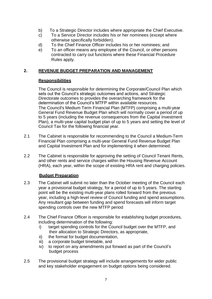- b) To a Strategic Director includes where appropriate the Chief Executive.
- c) To a Service Director includes his or her nominees (except where otherwise specifically forbidden).
- d) To the Chief Finance Officer includes his or her nominees; and
- e) To an officer means any employee of the Council, or other persons contracted to carry out functions where these Financial Procedure Rules apply.

## **2. REVENUE BUDGET PREPARATION AND MANAGEMENT**

## **Responsibilities**

The Council is responsible for determining the Corporate/Council Plan which sets out the Council's strategic outcomes and actions, and Strategic Directorate outcomes to provides the overarching framework for the determination of the Council's MTFP within available resources. The Council's Medium Term Financial Plan (MTFP) comprising a multi-year General Fund Revenue Budget Plan which will normally cover a period of up to 5 years (including the revenue consequences from the Capital Investment Plan), a multi-year capital budget plan of up to 5 years and setting the level of Council Tax for the following financial year.

- 2.1 The Cabinet is responsible for recommending to the Council a Medium-Term Financial Plan comprising a multi-year General Fund Revenue Budget Plan and Capital Investment Plan and for implementing it when determined.
- 2.2 The Cabinet is responsible for approving the setting of Council Tenant Rents, and other rents and service charges within the Housing Revenue Account (HRA), each year, within the scope of existing HRA rent and charging policies.

## **Budget Preparation**

- 2.3 The Cabinet will submit no later than the October meeting of the Council each year a provisional budget strategy, for a period of up to 5 years. The starting point will be the existing multi-year plans rolled forward from the previous year, including a high-level review of Council funding and spend assumptions. Any resultant gap between funding and spend forecasts will inform target spending controls over the new MTFP period
- 2.4 The Chief Finance Officer is responsible for establishing budget procedures, including determination of the following:
	- i) target spending controls for the Council budget over the MTFP, and their allocation to Strategic Directors, as appropriate,
	- ii) the format for budget documentation,
	- iii) a corporate budget timetable, and
	- iv) to report on any amendments put forward as part of the Council's budget process
- 2.5 The provisional budget strategy will include arrangements for wider public and key stakeholder engagement on budget options being considered.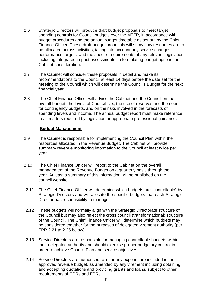- 2.6 Strategic Directors will produce draft budget proposals to meet target spending controls for Council budgets over the MTFP, in accordance with budget procedures and the annual budget timetable as set out by the Chief Finance Officer. These draft budget proposals will show how resources are to be allocated across activities, taking into account any service changes, performance targets, and the specific requirements of any relevant legislation, including integrated impact assessments, in formulating budget options for Cabinet consideration.
- 2.7 The Cabinet will consider these proposals in detail and make its recommendations to the Council at least 14 days before the date set for the meeting of the Council which will determine the Council's Budget for the next financial year.
- 2.8 The Chief Finance Officer will advise the Cabinet and the Council on the overall budget, the levels of Council Tax, the use of reserves and the need for contingency budgets, and on the risks involved in the forecasts of spending levels and income. The annual budget report must make reference to all matters required by legislation or appropriate professional guidance.

#### **Budget Management**

- 2.9 The Cabinet is responsible for implementing the Council Plan within the resources allocated in the Revenue Budget. The Cabinet will provide summary revenue monitoring information to the Council at least twice per year*.*
- 2.10 The Chief Finance Officer will report to the Cabinet on the overall management of the Revenue Budget on a quarterly basis through the year. At least a summary of this information will be published on the council website.
- 2.11 The Chief Finance Officer will determine which budgets are "controllable" by Strategic Directors and will allocate the specific budgets that each Strategic Director has responsibility to manage.
- 2.12 These budgets will normally align with the Strategic Directorate structure of the Council but may also reflect the cross council (transformational) structure of the Council. The Chief Finance Officer will determine which budgets may be considered together for the purposes of delegated virement authority (per FPR 2.21 to 2.25 below).
- 2.13 Service Directors are responsible for managing controllable budgets within their delegated authority and should exercise proper budgetary control in order to achieve Council Plan and service objectives.
- 2.14 Service Directors are authorised to incur any expenditure included in the approved revenue budget, as amended by any virement including obtaining and accepting quotations and providing grants and loans, subject to other requirements of CPRs and FPRs.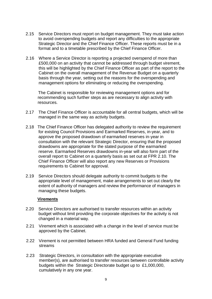- 2.15 Service Directors must report on budget management. They must take action to avoid overspending budgets and report any difficulties to the appropriate Strategic Director and the Chief Finance Officer. These reports must be in a format and to a timetable prescribed by the Chief Finance Officer.
- 2.16 Where a Service Director is reporting a projected overspend of more than £500,000 on an activity that cannot be addressed through budget virement, this will be highlighted by the Chief Finance Officer as part of the report to the Cabinet on the overall management of the Revenue Budget on a quarterly basis through the year, setting out the reasons for the overspending and management options for eliminating or reducing the overspending.

 The Cabinet is responsible for reviewing management options and for recommending such further steps as are necessary to align activity with resources.

- 2.17 The Chief Finance Officer is accountable for all central budgets, which will be managed in the same way as activity budgets.
- 2.18 The Chief Finance Officer has delegated authority to review the requirement for existing Council Provisions and Earmarked Reserves, in-year, and to approve the proposed drawdown of earmarked reserves in-year in consultation with the relevant Strategic Director, ensuring that the proposed drawdowns are appropriate for the stated purpose of the earmarked reserve. Earmarked Reserves drawdowns in-year will also form part of the overall report to Cabinet on a quarterly basis as set out at FPR 2.10. The Chief Finance Officer will also report any new Reserves or Provisions requirements to Cabinet for approval.
- 2.19 Service Directors should delegate authority to commit budgets to the appropriate level of management, make arrangements to set out clearly the extent of authority of managers and review the performance of managers in managing these budgets.

#### **Virements**

- 2.20 Service Directors are authorised to transfer resources within an activity budget without limit providing the corporate objectives for the activity is not changed in a material way.
- 2.21 Virement which is associated with a change in the level of service must be approved by the Cabinet.
- 2.22 Virement is not permitted between HRA funded and General Fund funding streams
- 2.23 Strategic Directors, in consultation with the appropriate executive member(s), are authorised to transfer resources between controllable activity budgets within the Strategic Directorate budget up to £1,000,000, cumulatively in any one year.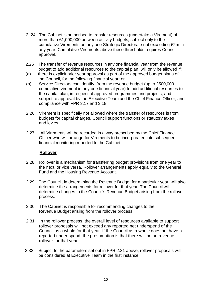- 2. 24 The Cabinet is authorised to transfer resources (undertake a Virement) of more than £1,000,000 between activity budgets, subject only to the cumulative Virements on any one Strategic Directorate not exceeding £2m in any year. Cumulative Virements above these thresholds requires Council approval.
- 2.25 The transfer of revenue resources in any one financial year from the revenue budget to add additional resources to the capital plan, will only be allowed if:
- (a) there is explicit prior year approval as part of the approved budget plans of the Council, for the following financial year; or
- (b) Service Directors can identify, from the revenue budget (up to £500,000 cumulative virement in any one financial year) to add additional resources to the capital plan, in respect of approved programmes and projects, and subject to approval by the Executive Team and the Chief Finance Officer; and compliance with FPR 3.17 and 3.18
- 2.26 Virement is specifically not allowed where the transfer of resources is from budgets for capital charges, Council support functions or statutory taxes and levies.
- 2.27 All Virements will be recorded in a way prescribed by the Chief Finance Officer who will arrange for Virements to be incorporated into subsequent financial monitoring reported to the Cabinet.

#### **Rollover**

- 2.28 Rollover is a mechanism for transferring budget provisions from one year to the next, or vice versa. Rollover arrangements apply equally to the General Fund and the Housing Revenue Account.
- 2.29 The Council, in determining the Revenue Budget for a particular year, will also determine the arrangements for rollover for that year. The Council will determine changes to the Council's Revenue Budget arising from the rollover process.
- 2.30 The Cabinet is responsible for recommending changes to the Revenue Budget arising from the rollover process.
- 2.31 In the rollover process, the overall level of resources available to support rollover proposals will not exceed any reported net underspend of the Council as a whole for that year. If the Council as a whole does not have a reported under spend, the presumption is that there will be no revenue rollover for that year.
- 2.32 Subject to the parameters set out in FPR 2.31 above, rollover proposals will be considered at Executive Team in the first instance.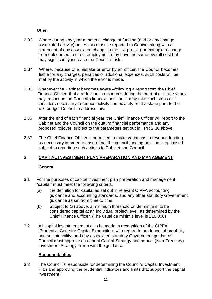## **Other**

- 2.33 Where during any year a material change of funding (and or any change associated activity) arises this must be reported to Cabinet along with a statement of any associated change in the risk profile (for example a change from outsourced to direct employment may have the same overall cost but may significantly increase the Council's risk).
- 2.34 Where, because of a mistake or error by an officer, the Council becomes liable for any charges, penalties or additional expenses, such costs will be met by the activity in which the error is made.
- 2.35 Whenever the Cabinet becomes aware –following a report from the Chief Finance Officer- that a reduction in resources during the current or future years may impact on the Council's financial position, it may take such steps as it considers necessary to reduce activity immediately or at a stage prior to the next budget Council to address this.
- 2.36 After the end of each financial year, the Chief Finance Officer will report to the Cabinet and the Council on the outturn financial performance and any proposed rollover, subject to the parameters set out in FPR 2.30 above.
- 2.37 The Chief Finance Officer is permitted to make variations to revenue funding as necessary in order to ensure that the council funding position is optimised, subject to reporting such actions to Cabinet and Council.

# 3. **CAPITAL INVESTMENT PLAN PREPARATION AND MANAGEMENT**

## **General**

- 3.1 For the purposes of capital investment plan preparation and management, "capital" must meet the following criteria:
	- (a) the definition for capital as set out in relevant CIPFA accounting guidance and accounting standards, and any other statutory Government guidance as set from time to time
	- (b) Subject to (a) above, a minimum threshold or 'de minimis' to be considered capital at an individual project level, as determined by the Chief Finance Officer. (The usual de minimis level is £10,000)
- 3.2 All capital investment must also be made in recognition of the CIPFA 'Prudential Code for Capital Expenditure with regard to prudence, affordability and sustainability, and any associated statutory Government guidance'. Council must approve an annual Capital Strategy and annual (Non-Treasury) Investment Strategy in line with the guidance.

## **Responsibilities**

3.3 The Council is responsible for determining the Council's Capital Investment Plan and approving the prudential indicators and limits that support the capital investment.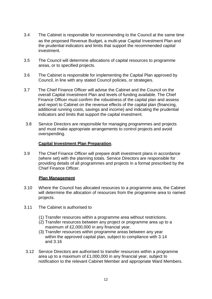- 3.4 The Cabinet is responsible for recommending to the Council at the same time as the proposed Revenue Budget, a multi-year Capital Investment Plan and the prudential indicators and limits that support the recommended capital investment.
- 3.5 The Council will determine allocations of capital resources to programme areas, or to specified projects.
- 3.6 The Cabinet is responsible for implementing the Capital Plan approved by Council, in line with any stated Council policies, or strategies.
- 3.7 The Chief Finance Officer will advise the Cabinet and the Council on the overall Capital Investment Plan and levels of funding available. The Chief Finance Officer must confirm the robustness of the capital plan and assess and report to Cabinet on the revenue effects of the capital plan (financing, additional running costs, savings and income) and indicating the prudential indicators and limits that support the capital investment.
- 3.8 Service Directors are responsible for managing programmes and projects and must make appropriate arrangements to control projects and avoid overspending.

## **Capital Investment Plan Preparation**.

3.9 The Chief Finance Officer will prepare draft investment plans in accordance (where set) with the planning totals. Service Directors are responsible for providing details of all programmes and projects in a format prescribed by the Chief Finance Officer.

#### **Plan Management**

- 3.10 Where the Council has allocated resources to a programme area, the Cabinet will determine the allocation of resources from the programme area to named projects.
- 3.11 The Cabinet is authorised to
	- (1) Transfer resources within a programme area without restrictions.
	- (2) Transfer resources between any project or programme area up to a maximum of £2,000,000 in any financial year.
	- (3) Transfer resources within programme areas between any year within the approved capital plan, subject to compliance with 3.14 and 3.16
- 3.12 Service Directors are authorised to transfer resources within a programme area up to a maximum of £1,000,000 in any financial year, subject to notification to the relevant Cabinet Member and appropriate Ward Members.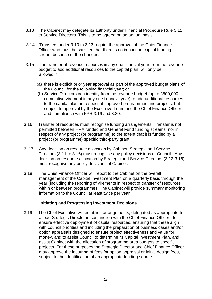- 3.13 The Cabinet may delegate its authority under Financial Procedure Rule 3.11 to Service Directors. This is to be agreed on an annual basis.
- 3.14 Transfers under 3.10 to 3.13 require the approval of the Chief Finance Officer who must be satisfied that there is no impact on capital funding stream because of the changes.
- 3.15 The transfer of revenue resources in any one financial year from the revenue budget to add additional resources to the capital plan, will only be allowed if
	- (a) there is explicit prior year approval as part of the approved budget plans of the Council for the following financial year; or
	- (b) Service Directors can identify from the revenue budget (up to £500,000 cumulative virement in any one financial year) to add additional resources to the capital plan, in respect of approved programmes and projects, but subject to approval by the Executive Team and the Chief Finance Officer; and compliance with FPR 3.19 and 3.20.
- 3.16 Transfer of resources must recognise funding arrangements. Transfer is not permitted between HRA funded and General Fund funding streams, nor in respect of any project (or programme) to the extent that it is funded by a project (or programme) specific third-party grant.
- 3. 17 Any decision on resource allocation by Cabinet, Strategic and Service Directors (3.11 to 3.16) must recognise any policy decisions of Council. Any decision on resource allocation by Strategic and Service Directors (3.12-3.16) must recognise any policy decisions of Cabinet.
- 3.18 The Chief Finance Officer will report to the Cabinet on the overall management of the Capital Investment Plan on a quarterly basis through the year (including the reporting of virements in respect of transfer of resources within or between programmes. The Cabinet will provide summary monitoring information to the Council at least twice per year

#### **Initiating and Progressing Investment Decisions**

3.19 The Chief Executive will establish arrangements, delegated as appropriate to a lead Strategic Director in conjunction with the Chief Finance Officer, to ensure effective deployment of capital resources, ensuring that these align with council priorities and including the preparation of business cases and/or option appraisals designed to ensure project effectiveness and value for money, and to assist Council to determine its Capital Investment Plan, and assist Cabinet with the allocation of programme area budgets to specific projects. For these purposes the Strategic Director and Chief Finance Officer may approve the incurring of fees for option appraisal or initial design fees, subject to the identification of an appropriate funding source.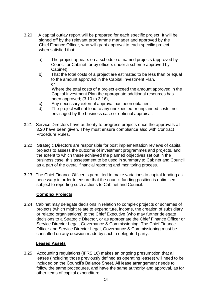- 3.20 A capital outlay report will be prepared for each specific project. It will be signed off by the relevant programme manager and approved by the Chief Finance Officer, who will grant approval to each specific project when satisfied that:
	- a) The project appears on a schedule of named projects (approved by Council or Cabinet, or by officers under a scheme approved by Cabinet).
	- b) That the total costs of a project are estimated to be less than or equal to the amount approved in the Capital Investment Plan. or Where the total costs of a project exceed the amount approved in the Capital Investment Plan the appropriate additional resources has been approved; (3.10 to 3.16),
	- c) Any necessary external approval has been obtained.
	- d) The project will not lead to any unexpected or unplanned costs, not envisaged by the business case or optional appraisal.
- 3.21 Service Directors have authority to progress projects once the approvals at 3.20 have been given. They must ensure compliance also with Contract Procedure Rules.
- 3.22 Strategic Directors are responsible for post implementation reviews of capital projects to assess the outcome of investment programmes and projects, and the extent to which these achieved the planned objectives set out in the business case, this assessment to be used in summary to Cabinet and Council as a part of the overall financial reporting and monitoring process.
- 3.23 The Chief Finance Officer is permitted to make variations to capital funding as necessary in order to ensure that the council funding position is optimised, subject to reporting such actions to Cabinet and Council.

#### **Complex Projects**

3.24 Cabinet may delegate decisions in relation to complex projects or schemes of projects (which might relate to expenditure, income, the creation of subsidiary or related organisations) to the Chief Executive (who may further delegate decisions to a Strategic Director, or as appropriate the Chief Finance Officer or Service Director Legal, Governance & Commissioning. The Chief Finance Officer and Service Director Legal, Governance & Commissioning must be consulted on any decision made by such a delegated party.

#### **Leased Assets**

3.25 Accounting regulations (IFRS 16) makes an ongoing presumption that all leases (including those previously defined as operating leases) will need to be included on the Council's Balance Sheet. All lease arrangement needs to follow the same procedures, and have the same authority and approval, as for other items of capital expenditure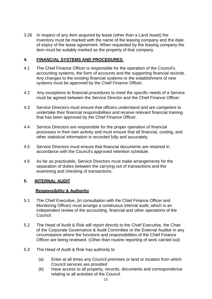3.26 In respect of any item acquired by lease (other than a Land Asset) the inventory must be marked with the name of the leasing company and the date of expiry of the lease agreement. When requested by the leasing company the item must be suitably marked as the property of that company.

## **4. FINANCIAL SYSTEMS AND PROCEDURES**

- 4.1 The Chief Finance Officer is responsible for the operation of the Council's accounting systems, the form of accounts and the supporting financial records. Any changes to the existing financial systems or the establishment of new systems must be approved by the Chief Finance Officer.
- 4.2 Any exceptions to financial procedures to meet the specific needs of a Service must be agreed between the Service Director and the Chief Finance Officer.
- 4.3 Service Directors must ensure that officers understand and are competent to undertake their financial responsibilities and receive relevant financial training that has been approved by the Chief Finance Officer.
- 4.4 Service Directors are responsible for the proper operation of financial processes in their own activity and must ensure that all financial, costing, and other statistical information is recorded fully and accurately.
- 4.5 Service Directors must ensure that financial documents are retained in accordance with the Council's approved retention schedule.
- 4.6 As far as practicable, Service Directors must make arrangements for the separation of duties between the carrying out of transactions and the examining and checking of transactions.

#### **5. INTERNAL AUDIT**

#### **Responsibility & Authority**

- 5.1 The Chief Executive, (in consultation with the Chief Finance Officer and Monitoring Officer) must arrange a continuous internal audit, which is an independent review of the accounting, financial and other operations of the Council.
- 5.2 The Head of Audit & Risk will report directly to the Chief Executive, the Chair of the Corporate Governance & Audit Committee or the External Auditor in any circumstance where the functions and responsibilities of the Chief Finance Officer are being reviewed. (Other than routine reporting of work carried out)
- 5.3 The Head of Audit & Risk has authority to
	- (a) Enter at all times any Council premises or land or location from which Council services are provided
	- (b) Have access to all property, records, documents and correspondence relating to all activities of the Council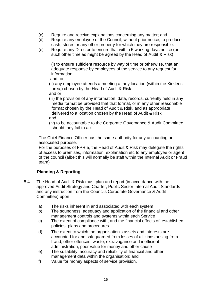- (c) Require and receive explanations concerning any matter; and
- (d) Require any employee of the Council, without prior notice, to produce cash, stores or any other property for which they are responsible.
- (e) Require any Director to ensure that within 5 working days notice (or such other time as might be agreed by the Head of Audit & Risk)

(i) to ensure sufficient resource by way of time or otherwise, that an adequate response by employees of the service to any request for information,

and, or

(ii) any employee attends a meeting at any location (within the Kirklees area,) chosen by the Head of Audit & Risk

- and or
- (iii) the provision of any information, data, records, currently held in any media format be provided that that format, or in any other reasonable format chosen by the Head of Audit & Risk, and as appropriate delivered to a location chosen by the Head of Audit & Risk and

(iv) to be accountable to the Corporate Governance & Audit Committee should they fail to act

The Chief Finance Officer has the same authority for any accounting or associated purpose.

For the purposes of FPR 5, the Head of Audit & Risk may delegate the rights of access to premises, information, explanation etc to any employee or agent of the council (albeit this will normally be staff within the Internal Audit or Fraud team)

## **Planning & Reporting**

- 5.4 The Head of Audit & Risk must plan and report (in accordance with the approved Audit Strategy and Charter, Public Sector Internal Audit Standards and any instruction from the Councils Corporate Governance & Audit Committee) upon
	- a) The risks inherent in and associated with each system
	- b) The soundness, adequacy and application of the financial and other management controls and systems within each Service
	- c) The extent of compliance with, and the financial effects of, established policies, plans and procedures
	- d) The extent to which the organisation's assets and interests are accounted for and safeguarded from losses of all kinds arising from fraud, other offences, waste, extravagance and inefficient administration, poor value for money and other cause
	- e) The suitability, accuracy and reliability of financial and other management data within the organisation; and
	- f) Value for money aspects of service provision.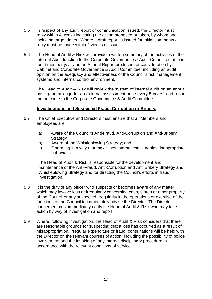- 5.5 In respect of any audit report or communication issued, the Director must reply within 4 weeks indicating the action proposed or taken, by whom and including target dates. Where a draft report is issued for initial comments a reply must be made within 2 weeks of issue.
- 5.6 The Head of Audit & Risk will provide a written summary of the activities of the Internal Audit function to the Corporate Governance & Audit Committee at least four times per year and an Annual Report produced for consideration by, Cabinet and Corporate Governance & Audit Committee, including an audit opinion on the adequacy and effectiveness of the Council's risk management systems and internal control environment.

The Head of Audit & Risk will review the system of internal audit on an annual basis (and arrange for an external assessment once every 5 years) and report the outcome to the Corporate Governance & Audit Committee.

#### **Investigations and Suspected Fraud, Corruption or Bribery.**

- 5.7 The Chief Executive and Directors must ensure that all Members and employees are
	- a) Aware of the Council's Anti-Fraud, Anti-Corruption and Anti-Bribery **Strategy**
	- b) Aware of the Whistleblowing Strategy; and
	- c) Operating in a way that maximises internal check against inappropriate behaviour.

The Head of Audit & Risk is responsible for the development and maintenance of the Anti-Fraud, Anti-Corruption and Anti Bribery Strategy and Whistleblowing Strategy and for directing the Council's efforts in fraud investigation.

- 5.8 It is the duty of any officer who suspects or becomes aware of any matter which may involve loss or irregularity concerning cash, stores or other property of the Council or any suspected irregularity in the operations or exercise of the functions of the Council to immediately advise the Director. The Director concerned must immediately notify the Head of Audit & Risk who may take action by way of investigation and report.
- 5.9 Where, following investigation, the Head of Audit & Risk considers that there are reasonable grounds for suspecting that a loss has occurred as a result of misappropriation, irregular expenditure or fraud, consultations will be held with the Director on the relevant courses of action, including the possibility of police involvement and the invoking of any internal disciplinary procedure in accordance with the relevant conditions of service.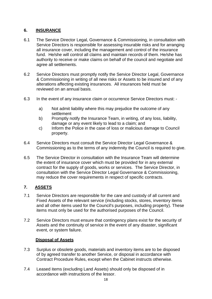# **6. INSURANCE**

- 6.1 The Service Director Legal, Governance & Commissioning, in consultation with Service Directors is responsible for assessing insurable risks and for arranging all insurance cover, including the management and control of the insurance fund. He/she will control all claims and maintain records of them. He/she has authority to receive or make claims on behalf of the council and negotiate and agree all settlements.
- 6.2 Service Directors must promptly notify the Service Director Legal, Governance & Commissioning in writing of all new risks or Assets to be insured and of any alterations affecting existing insurances. All insurances held must be reviewed on an annual basis.
- 6.3 In the event of any insurance claim or occurrence Service Directors must:
	- a) Not admit liability where this may prejudice the outcome of any settlement
	- b) Promptly notify the Insurance Team, in writing, of any loss, liability, damage or any event likely to lead to a claim; and
	- c) Inform the Police in the case of loss or malicious damage to Council property.
- 6.4 Service Directors must consult the Service Director Legal Governance & Commissioning as to the terms of any indemnity the Council is required to give.
- 6.5 The Service Director in consultation with the Insurance Team will determine the extent of insurance cover which must be provided for in any external contract for the supply of goods, works or services. The Service Director, in consultation with the Service Director Legal Governance & Commissioning, may reduce the cover requirements in respect of specific contracts.

## **7. ASSETS**

- 7.1 Service Directors are responsible for the care and custody of all current and Fixed Assets of the relevant service (including stocks, stores, inventory items and all other items used for the Council's purposes, including property). These items must only be used for the authorised purposes of the Council.
- 7.2 Service Directors must ensure that contingency plans exist for the security of Assets and the continuity of service in the event of any disaster, significant event, or system failure.

## **Disposal of Assets**

- 7.3 Surplus or obsolete goods, materials and inventory items are to be disposed of by agreed transfer to another Service, or disposal in accordance with Contract Procedure Rules, except when the Cabinet instructs otherwise.
- 7.4 Leased items (excluding Land Assets) should only be disposed of in accordance with instructions of the lessor.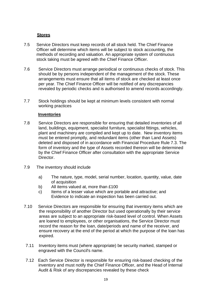## **Stores**

- 7.5 Service Directors must keep records of all stock held. The Chief Finance Officer will determine which items will be subject to stock accounting, the methods of recording and valuation. An appropriate system of continuous stock taking must be agreed with the Chief Finance Officer.
- 7.6 Service Directors must arrange periodical or continuous checks of stock. This should be by persons independent of the management of the stock. These arrangements must ensure that all items of stock are checked at least once per year. The Chief Finance Officer will be notified of any discrepancies revealed by periodic checks and is authorised to amend records accordingly.
- 7.7 Stock holdings should be kept at minimum levels consistent with normal working practices

#### **Inventories**

- 7.8 Service Directors are responsible for ensuring that detailed inventories of all land, buildings, equipment, specialist furniture, specialist fittings, vehicles, plant and machinery are compiled and kept up to date. New inventory items must be entered promptly, and redundant items (other than Land Assets) deleted and disposed of in accordance with Financial Procedure Rule 7.3. The form of inventory and the type of Assets recorded thereon will be determined by the Chief Finance Officer after consultation with the appropriate Service Director.
- 7.9 The inventory should include
	- a) The nature, type, model, serial number, location, quantity, value, date of acquisition
	- b) All items valued at, more than £100
	- c) Items of a lesser value which are portable and attractive; and Evidence to indicate an inspection has been carried out.
- 7.10 Service Directors are responsible for ensuring that inventory items which are the responsibility of another Director but used operationally by their service areas are subject to an appropriate risk-based level of control. When Assets are loaned to employees, or other organisations, the Service Director must record the reason for the loan, date/periods and name of the receiver, and ensure recovery at the end of the period at which the purpose of the loan has expired.
- 7.11 Inventory items must (where appropriate) be security marked, stamped or engraved with the Council's name.
- 7.12 Each Service Director is responsible for ensuring risk-based checking of the inventory and must notify the Chief Finance Officer, and the Head of Internal Audit & Risk of any discrepancies revealed by these check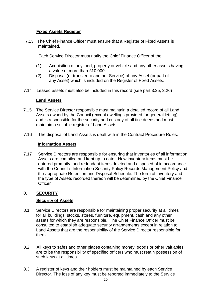## **Fixed Assets Register**

7.13 The Chief Finance Officer must ensure that a Register of Fixed Assets is maintained.

Each Service Director must notify the Chief Finance Officer of the:

- (1) Acquisition of any land, property or vehicle and any other assets having a value of more than £10,000.
- (2) Disposal (or transfer to another Service) of any Asset (or part of any Asset) which is included on the Register of Fixed Assets.
- 7.14 Leased assets must also be included in this record (see part 3.25, 3.26)

## **Land Assets**

- 7.15 The Service Director responsible must maintain a detailed record of all Land Assets owned by the Council (except dwellings provided for general letting) and is responsible for the security and custody of all title deeds and must maintain a suitable register of Land Assets.
- 7.16 The disposal of Land Assets is dealt with in the Contract Procedure Rules.

## **Information Assets**

7.17 Service Directors are responsible for ensuring that inventories of all information Assets are compiled and kept up to date. New inventory items must be entered promptly, and redundant items deleted and disposed of in accordance with the Council's Information Security Policy Records Management Policy and the appropriate Retention and Disposal Schedule. The form of inventory and the type of Assets recorded thereon will be determined by the Chief Finance **Officer** 

# **8. SECURITY**

## **Security of Assets**

- 8.1 Service Directors are responsible for maintaining proper security at all times for all buildings, stocks, stores, furniture, equipment, cash and any other assets for which they are responsible. The Chief Finance Officer must be consulted to establish adequate security arrangements except in relation to Land Assets that are the responsibility of the Service Director responsible for them.
- 8.2 All keys to safes and other places containing money, goods or other valuables are to be the responsibility of specified officers who must retain possession of such keys at all times.
- 8.3 A register of keys and their holders must be maintained by each Service Director. The loss of any key must be reported immediately to the Service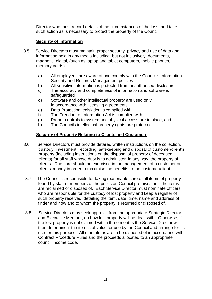Director who must record details of the circumstances of the loss, and take such action as is necessary to protect the property of the Council.

## **Security of Information**

- 8.5 Service Directors must maintain proper security, privacy and use of data and information held in any media including, but not inclusively, documents, magnetic, digital, (such as laptop and tablet computers, mobile phones, memory cards).
	- a) All employees are aware of and comply with the Council's Information Security and Records Management policies
	- b) All sensitive information is protected from unauthorised disclosure
	- c) The accuracy and completeness of information and software is safeguarded
	- d) Software and other intellectual property are used only in accordance with licensing agreements
	- e) Data Protection legislation is complied with
	- f) The Freedom of Information Act is complied with
	- g) Proper controls to system and physical access are in place; and
	- h) The Councils intellectual property rights are protected.

# **Security of Property Relating to Clients and Customers**

- 8.6 Service Directors must provide detailed written instructions on the collection, custody, investment, recording, safekeeping and disposal of customer/client's property (including instructions on the disposal of property of deceased clients) for all staff whose duty is to administer, in any way, the property of clients. Due care should be exercised in the management of a customer or clients' money in order to maximise the benefits to the customer/client.
- 8.7 The Council is responsible for taking reasonable care of all items of property found by staff or members of the public on Council premises until the items are reclaimed or disposed of. Each Service Director must nominate officers who are responsible for the custody of lost property and keep a register of such property received, detailing the item, date, time, name and address of finder and how and to whom the property is returned or disposed of.
- 8.8 Service Directors may seek approval from the appropriate Strategic Director and Executive Member, on how lost property will be dealt with. Otherwise, if the lost property is not claimed within three months the Service Director will then determine if the item is of value for use by the Council and arrange for its use for this purpose. All other items are to be disposed of in accordance with Contract Procedure Rules and the proceeds allocated to an appropriate council income code.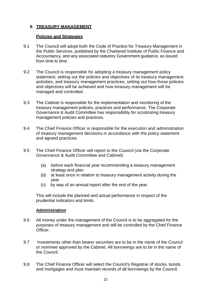# **9. TREASURY MANAGEMENT**

## **Policies and Strategies**

- 9.1 The Council will adopt both the Code of Practice for Treasury Management in the Public Services, published by the Chartered Institute of Public Finance and Accountancy, and any associated statutory Government guidance, as issued from time to time.
- 9.2 The Council is responsible for adopting a treasury management policy statement, setting out the policies and objectives of its treasury management activities, and treasury management practices, setting out how those policies and objectives will be achieved and how treasury management will be managed and controlled.
- 9.3 The Cabinet is responsible for the implementation and monitoring of the treasury management policies, practices and performance. The Corporate Governance & Audit Committee has responsibility for scrutinizing treasury management policies and practices.
- 9.4 The Chief Finance Officer is responsible for the execution and administration of treasury management decisions in accordance with the policy statement and agreed practices.
- 9.5 The Chief Finance Officer will report to the Council (via the Corporate Governance & Audit Committee and Cabinet)
	- (a) before each financial year recommending a treasury management strategy and plan
	- (b) at least once in relation to treasury management activity during the year
	- (c) by way of an annual report after the end of the year.

This will include the planned and actual performance in respect of the prudential indicators and limits.

## **Administration**

- 9.6 All money under the management of the Council is to be aggregated for the purposes of treasury management and will be controlled by the Chief Finance **Officer**
- 9.7 Investments other than bearer securities are to be in the name of the Council or nominee approved by the Cabinet. All borrowings are to be in the name of the Council.
- 9.8 The Chief Finance Officer will select the Council's Registrar of stocks, bonds and mortgages and must maintain records of all borrowings by the Council.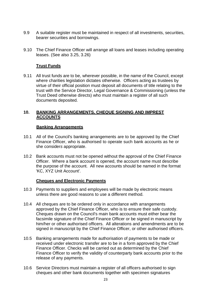- 9.9 A suitable register must be maintained in respect of all investments, securities, bearer securities and borrowings.
- 9.10 The Chief Finance Officer will arrange all loans and leases including operating leases. (See also 3.25, 3.26)

## **Trust Funds**

9.11 All trust funds are to be, wherever possible, in the name of the Council, except where charities legislation dictates otherwise. Officers acting as trustees by virtue of their official position must deposit all documents of title relating to the trust with the Service Director, Legal Governance & Commissioning (unless the Trust Deed otherwise directs) who must maintain a register of all such documents deposited.

#### **10. BANKING ARRANGEMENTS, CHEQUE SIGNING AND IMPREST ACCOUNTS**

#### **Banking Arrangements**

- 10.1 All of the Council's banking arrangements are to be approved by the Chief Finance Officer, who is authorised to operate such bank accounts as he or she consider*s* appropriate.
- 10.2 Bank accounts must not be opened without the approval of the Chief Finance Officer. Where a bank account is opened, the account name must describe the purpose of the account. All new accounts should be named in the format 'KC, XYZ Unit Account'.

#### **Cheques and Electronic Payments**

- 10.3 Payments to suppliers and employees will be made by electronic means unless there are good reasons to use a different method.
- 10.4 All cheques are to be ordered only in accordance with arrangements approved by the Chief Finance Officer, who is to ensure their safe custody. Cheques drawn on the Council's main bank accounts must either bear the facsimile signature of the Chief Finance Officer or be signed in manuscript by him/her or other authorised officers. All alterations and amendments are to be signed in manuscript by the Chief Finance Officer, or other authorised officers.
- 10.5 Banking arrangements made for authorisation of payments to be made or received under electronic transfer are to be in a form approved by the Chief Finance Officer. Checks will be carried out as determined by the Chief Finance Officer to verify the validity of counterparty bank accounts prior to the release of any payments.
- 10.6 Service Directors must maintain a register of all officers authorised to sign cheques and other bank documents together with specimen signatures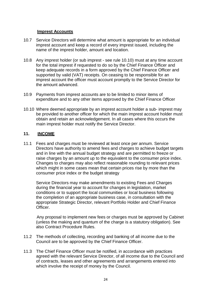#### **Imprest Accounts**

- 10.7 Service Directors will determine what amount is appropriate for an individual imprest account and keep a record of every imprest issued, including the name of the imprest holder, amount and location.
- 10.8 Any imprest holder (or sub imprest see rule 10.10) must at any time account for the total imprest if requested to do so by the Chief Finance Officer and keep adequate records in a form approved by the Chief Finance Officer and supported by valid (VAT) receipts. On ceasing to be responsible for an imprest account the officer must account promptly to the Service Director for the amount advanced.
- 10.9 Payments from imprest accounts are to be limited to minor items of expenditure and to any other items approved by the Chief Finance Officer
- 10.10 Where deemed appropriate by an imprest account holder a sub- imprest may be provided to another officer for which the main imprest account holder must obtain and retain an acknowledgement. In all cases where this occurs the main imprest holder must notify the Service Director.

#### **11. INCOME**

11.1 Fees and charges must be reviewed at least once per annum. Service Directors have authority to amend fees and charges to achieve budget targets and in line with the annual budget strategy and are permitted to freeze or raise charges by an amount up to the equivalent to the consumer price index. Changes to charges may also reflect reasonable rounding to relevant prices which might in some cases mean that certain prices rise by more than the consumer price index or the budget strategy

 Service Directors may make amendments to existing Fees and Charges during the financial year to account for changes in legislation, market conditions or to support the local communities or local business following the completion of an appropriate business case, in consultation with the appropriate Strategic Director, relevant Portfolio Holder and Chief Finance Officer.

 Any proposal to implement new fees or charges must be approved by Cabinet (unless the making and quantum of the charge is a statutory obligation). See also Contract Procedure Rules.

- 11.2 The methods of collecting, recording and banking of all income due to the Council are to be approved by the Chief Finance Officer.
- 11.3 The Chief Finance Officer must be notified, in accordance with practices agreed with the relevant Service Director, of all income due to the Council and of contracts, leases and other agreements and arrangements entered into which involve the receipt of money by the Council.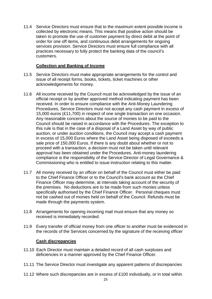11.4 Service Directors must ensure that to the maximum extent possible income is collected by electronic means. This means that positive action should be taken to promote the use of customer payment by direct debit at the point of order for one off items, and continuous debit arrangements for ongoing services provision. Service Directors must ensure full compliance with all practices necessary to fully protect the banking data of the council's customers.

## **Collection and Banking of Income**

- 11.5 Service Directors must make appropriate arrangements for the control and issue of all receipt forms, books, tickets, ticket machines or other acknowledgements for money.
- 11.6 All income received by the Council must be acknowledged by the issue of an official receipt or by another approved method indicating payment has been received. In order to ensure compliance with the Anti-Money Laundering Procedures, Service Directors must not accept any cash payment in excess of 15,000 euros (£11,700) in respect of one single transaction on one occasion. Any reasonable concerns about the source of monies to be paid to the Council should be raised in accordance with the Procedures. The exception to this rule is that in the case of a disposal of a Land Asset by way of public auction, or under auction conditions, the Council may accept a cash payment in excess of 15,000 Euros where the Land Asset being disposed of exceeds a sale price of 150,000 Euros. If there is any doubt about whether or not to proceed with a transaction, a decision must not be taken until relevant approval has been obtained under the Procedures. Anti-money laundering compliance is the responsibility of the Service Director of Legal Governance & Commissioning who is entitled to issue instruction relating to this matter.
- 11.7 All money received by an officer on behalf of the Council must either be paid to the Chief Finance Officer or to the Council's bank account as the Chief Finance Officer may determine, at intervals taking account of the security of the premises. No deductions are to be made from such monies unless specifically authorised by the Chief Finance Officer. Personal cheques must not be cashed out of monies held on behalf of the Council. Refunds must be made through the payments system.
- 11.8 Arrangements for opening incoming mail must ensure that any money so received is immediately recorded.
- 11.9 Every transfer of official money from one officer to another must be evidenced in the records of the Services concerned by the signature of the receiving officer

#### **Cash discrepancies**

- 11.10 Each Director must maintain a detailed record of all cash surpluses and deficiencies in a manner approved by the Chief Finance Officer.
- 11.11 The Service Director must investigate any apparent patterns of discrepancies
- 11.12 Where such discrepancies are in excess of £100 individually, or in total within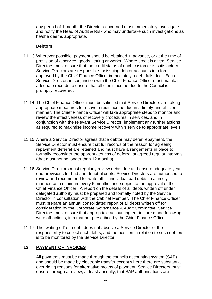any period of 1 month, the Director concerned must immediately investigate and notify the Head of Audit & Risk who may undertake such investigations as he/she deems appropriate.

## **Debtors**

- 11.13 Wherever possible, payment should be obtained in advance, or at the time of provision of a service, goods, letting or works. Where credit is given, Service Directors must ensure that the credit status of each customer is satisfactory. Service Directors are responsible for issuing debtor accounts in a form approved by the Chief Finance Officer immediately a debt falls due. Each Service Director, in conjunction with the Chief Finance Officer must maintain adequate records to ensure that all credit income due to the Council is promptly recovered.
- 11.14 The Chief Finance Officer must be satisfied that Service Directors are taking appropriate measures to recover credit income due in a timely and efficient manner. The Chief Finance Officer will take appropriate steps to monitor and review the effectiveness of recovery procedures in services, and in conjunction with the relevant Service Director, implement any further actions as required to maximise income recovery within service to appropriate levels.
- 11.15 Where a Service Director agrees that a debtor may defer repayment, the Service Director must ensure that full records of the reason for agreeing repayment deferral are retained and must have arrangements in place to formally reconsider the appropriateness of deferral at agreed regular intervals (that must not be longer than 12 months).
- 11.16 Service Directors must regularly review debts due and ensure adequate year end provisions for bad and doubtful debts. Service Directors are authorised to review and recommend for write off all individual bad debts in a timely manner, as a minimum every 6 months, and subject to the approval of the Chief Finance Officer. A report on the details of all debts written off under delegated authority must be prepared and formally noted by the Service Director in consultation with the Cabinet Member. The Chief Finance Officer must prepare an annual consolidated report of all debts written off for consideration by the Corporate Governance & Audit Committee. Service Directors must ensure that appropriate accounting entries are made following write off actions, in a manner prescribed by the Chief Finance Officer.
- 11.17 The 'writing off' of a debt does not absolve a Service Director of the responsibility to collect such debts, and the position in relation to such debtors is to be monitored by the Service Director.

# **12. PAYMENT OF INVOICES**

All payments must be made through the councils accounting system (SAP) and should be made by electronic transfer except where there are substantial over riding reasons for alternative means of payment. Service Directors must ensure through a review, at least annually, that SAP authorisations are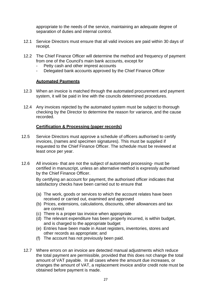appropriate to the needs of the service, maintaining an adequate degree of separation of duties and internal control.

- 12.1 Service Directors must ensure that all valid invoices are paid within 30 days of receipt.
- 12.2 The Chief Finance Officer will determine the method and frequency of payment from one of the Council's main bank accounts, except for
	- Petty cash and other imprest accounts
	- Delegated bank accounts approved by the Chief Finance Officer

#### **Automated Payments**

- 12.3 When an invoice is matched through the automated procurement and payment system, it will be paid in line with the councils determined procedures.
- 12.4 Any invoices rejected by the automated system must be subject to thorough checking by the Director to determine the reason for variance, and the cause recorded.

## **Certification & Processing (paper records)**

- 12.5 Service Directors must approve a schedule of officers authorised to certify invoices, (names and specimen signatures). This must be supplied if requested to the Chief Finance Officer. The schedule must be reviewed at least once per year.
- 12.6 All invoices- that are not the subject of automated processing- must be certified in manuscript, unless an alternative method is expressly authorised by the Chief Finance Officer.

By certifying an account for payment, the authorised officer indicates that satisfactory checks have been carried out to ensure that

- (a) The work, goods or services to which the account relates have been received or carried out, examined and approved
- (b) Prices, extensions, calculations, discounts, other allowances and tax are correct
- (c) There is a proper tax invoice when appropriate
- (d) The relevant expenditure has been properly incurred, is within budget, and is charged to the appropriate budget
- (e) Entries have been made in Asset registers, inventories, stores and other records as appropriate; and
- (f) The account has not previously been paid.
- 12.7 Where errors on an invoice are detected manual adjustments which reduce the total payment are permissible, provided that this does not change the total amount of VAT payable. In all cases where the amount due increases, or changes the amount of VAT, a replacement invoice and/or credit note must be obtained before payment is made.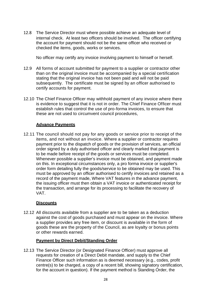12.8 The Service Director must where possible achieve an adequate level of internal check. At least two officers should be involved. The officer certifying the account for payment should not be the same officer who received or checked the items, goods, works or services.

No officer may certify any invoice involving payment to himself or herself.

- 12.9 All forms of account submitted for payment to a supplier or contractor other than on the original invoice must be accompanied by a special certification stating that the original invoice has not been paid and will not be paid subsequently. The certificate must be signed by an officer authorised to certify accounts for payment.
- 12.10 The Chief Finance Officer may withhold payment of any invoice where there is evidence to suggest that it is not in order. The Chief Finance Officer must establish rules that control the use of pro-forma invoices, to ensure that these are not used to circumvent council procedures,

## **Advance Payments**

12.11 The council should not pay for any goods or service prior to receipt of the items, and not without an invoice. Where a supplier or contractor requires payment prior to the dispatch of goods or the provision of services, an official order signed by a duly authorised officer and clearly marked that payment is to be made before receipt of the goods or services must be completed. Whenever possible a supplier's invoice must be obtained, and payment made on this. In exceptional circumstances only, a pro forma invoice or supplier's order form detailing fully the goods/service to be obtained may be used. This must be approved by an officer authorised to certify invoices and retained as a record of the payment made, Where VAT features in the advance payment, the issuing officer must then obtain a VAT invoice or authenticated receipt for the transaction, and arrange for its processing to facilitate the recovery of VAT.

## **Discounts**

12.12 All discounts available from a supplier are to be taken as a deduction against the cost of goods purchased and must appear on the invoice. Where a supplier provides any free item, or discount is available in the form of goods these are the property of the Council, as are loyalty or bonus points or other rewards earned.

## **Payment by Direct Debit/Standing Order**

12.13 The Service Director (or Designated Finance Officer) must approve all requests for creation of a Direct Debit mandate, and supply to the Chief Finance Officer such information as is deemed necessary (e.g., codes, profit centre(s) to be charged, a copy of a recent bill, showing signatory certification, for the account in question). If the payment method is Standing Order, the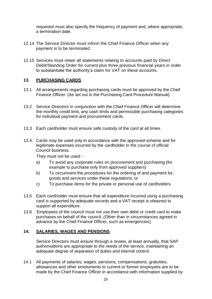requestor must also specify the frequency of payment and, where appropriate, a termination date.

- 12.14 The Service Director must inform the Chief Finance Officer when any payment is to be terminated.
- 12.15 Services must retain all statements relating to accounts paid by Direct Debit/Standing Order for current plus three previous financial years in order to substantiate the authority's claim for VAT on these accounts.

## **13. PURCHASING CARDS**

- 13.1 All arrangements regarding purchasing cards must be approved by the Chief Finance Officer. (As set out in the Purchasing Card Procedure Manual)
- 13.2 Service Directors in conjunction with the Chief Finance Officer will determine the monthly credit limit, any cash limits and permissible purchasing categories for individual payment and procurement cards.
- 13.3 Each cardholder must ensure safe custody of the card at all times.
- 13.4 Cards may be used only in accordance with the approved scheme and for legitimate expenses incurred by the cardholder in the course of official Council business.

They must not be used: -

- a) To avoid any corporate rules on procurement and purchasing (for example to purchase only from approved suppliers)
- b) To circumvent the procedures for the ordering of and payment for, goods and services under these regulations; or
- c) To purchase items for the private or personal use of cardholders.
- 13.5 Each cardholder must ensure that all expenditure incurred using a purchasing card is supported by adequate records and a VAT receipt is obtained to support all expenditure.
- 13.6 Employees of the council must not use their own debit or credit card to make purchases on behalf of the council. (Other than in circumstances agreed in advance by the Chief Finance Officer, such as emergencies)

#### **14. SALARIES, WAGES AND PENSIONS**

Service Directors must ensure through a review, at least annually, that SAP authorisations are appropriate to the needs of the service, maintaining an adequate degree of separation of duties and internal control.

14.1 All payments of salaries, wages, pensions, compensations, gratuities, allowances and other emoluments to current or former employees are to be made by the Chief Finance Officer in accordance with information supplied by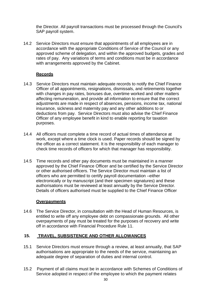the Director. All payroll transactions must be processed through the Council's SAP payroll system.

14.2 Service Directors must ensure that appointments of all employees are in accordance with the appropriate Conditions of Service of the Council or any approved scheme of delegation, and within the approved budgets, grades and rates of pay. Any variations of terms and conditions must be in accordance with arrangements approved by the Cabinet.

## **Records**

- 14.3 Service Directors must maintain adequate records to notify the Chief Finance Officer of all appointments, resignations, dismissals, and retirements together with changes in pay rates, bonuses due, overtime worked and other matters affecting remuneration, and provide all information to ensure that the correct adjustments are made in respect of absences, pensions, income tax, national insurance, sickness and maternity pay and any other additions to or deductions from pay. Service Directors must also advise the Chief Finance Officer of any employee benefit in kind to enable reporting for taxation purposes.
- 14.4 All officers must complete a time record of actual times of attendance at work, except where a time clock is used. Paper records should be signed by the officer as a correct statement. It is the responsibility of each manager to check time records of officers for which that manager has responsibility.
- 14.5 Time records and other pay documents must be maintained in a manner approved by the Chief Finance Officer and be certified by the Service Director or other authorised officers. The Service Director must maintain a list of officers who are permitted to certify payroll documentation –either electronically or by manuscript (and their specimen signatures) and these authorisations must be reviewed at least annually by the Service Director. Details of officers authorised must be supplied to the Chief Finance Officer

## **Overpayments**

14.6 The Service Director, in consultation with the Head of Human Resources, is entitled to write off any employee debt on compassionate grounds. All other overpayments of pay must be treated for the purposes of recovery and write off in accordance with Financial Procedure Rule 11.

# **15. TRAVEL, SUBSISTENCE AND OTHER ALLOWANCES**

- 15.1 Service Directors must ensure through a review, at least annually, that SAP authorisations are appropriate to the needs of the service, maintaining an adequate degree of separation of duties and internal control.
- 15.2 Payment of all claims must be in accordance with Schemes of Conditions of Service adopted in respect of the employee to which the payment relates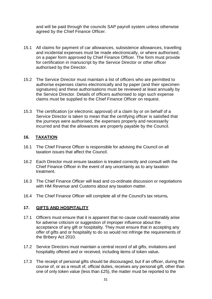and will be paid through the councils SAP payroll system unless otherwise agreed by the Chief Finance Officer.

- 15.1 All claims for payment of car allowances, subsistence allowances, travelling and incidental expenses must be made electronically, or where authorised, on a paper form approved by Chief Finance Officer. The form must provide for certification in manuscript by the Service Director or other officer authorised by the Director.
- 15.2 The Service Director must maintain a list of officers who are permitted to authorise expenses claims electronically and by paper (and their specimen signatures) and these authorisations must be reviewed at least annually by the Service Director. Details of officers authorised to sign such expense claims must be supplied to the Chief Finance Officer on request.
- 15.3 The certification (or electronic approval) of a claim by or on behalf of a Service Director is taken to mean that the certifying officer is satisfied that the journeys were authorised, the expenses properly and necessarily incurred and that the allowances are properly payable by the Council.

#### **16. TAXATION**

- 16.1 The Chief Finance Officer is responsible for advising the Council on all taxation issues that affect the Council.
- 16.2 Each Director must ensure taxation is treated correctly and consult with the Chief Finance Officer in the event of any uncertainty as to any taxation treatment.
- 16.3 The Chief Finance Officer will lead and co-ordinate discussion or negotiations with HM Revenue and Customs about any taxation matter.
- 16.4 The Chief Finance Officer will complete all of the Council's tax returns*.*

#### **17. GIFTS AND HOSPITALITY**

- 17.1 Officers must ensure that it is apparent that no cause could reasonably arise for adverse criticism or suggestion of improper influence about the acceptance of any gift or hospitality. They must ensure that in accepting any offer of gifts and or hospitality to do so would not infringe the requirements of the Bribery Act 2010.
- 17.2 Service Directors must maintain a central record of all gifts, invitations and hospitality offered and or received, including items of token value**.**
- 17.3 The receipt of personal gifts should be discouraged, but if an officer, during the course of, or as a result of, official duties, receives any personal gift, other than one of only token value (less than £25), the matter must be reported to the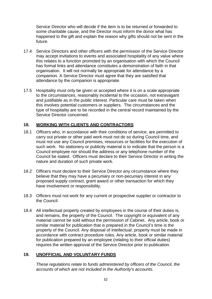Service Director who will decide if the item is to be returned or forwarded to some charitable cause, and the Director must inform the donor what has happened to the gift and explain the reason why gifts should not be sent in the future.

- 17.4 Service Directors and other officers with the permission of the Service Director may accept invitations to events and associated hospitality of any value where this relates to a function promoted by an organisation with which the Council has formal links and attendance constitutes a demonstration of faith in that organisation. It will not normally be appropriate for attendance by a companion. A Service Director must agree that they are satisfied that attendance by the companion is appropriate.
- 17.5 Hospitality must only be given or accepted where it is on a scale appropriate to the circumstances, reasonably incidental to the occasion, not extravagant and justifiable as in the public interest. Particular care must be taken when this involves potential customers or suppliers. The circumstances and the type of hospitality are to be recorded in the central record maintained by the Service Director concerned.

## **18. WORKING WITH CLIENTS AND CONTRACTORS**

- 18.1 Officers who, in accordance with their conditions of service, are permitted to carry out private or other paid work must not do so during Council time, and must not use any Council premises, resources or facilities for the execution of such work. No stationery or publicity material is to indicate that the person is a Council employee nor should the address or any telephone number of the Council be stated. Officers must declare to their Service Director in writing the nature and duration of such private work.
- 18.2 Officers must declare to their Service Director any circumstance where they believe that they may have a pecuniary or non-pecuniary interest in any proposed supply contract, grant award or other transaction for which they have involvement or responsibility.
- 18.3 Officers must not work for any current or prospective supplier or contractor to the Council.
- 18.4 All intellectual property created by employees in the course of their duties is, and remains, the property of the Council. The copyright or equivalent of any material cannot be sold without the permission of Cabinet. Any article, book or similar material for publication that is prepared in the Council's time is the property of the Council. Any disposal of intellectual; property must be made in accordance with contract procedure rules. Any article, book or similar material for publication prepared by an employee (relating to their official duties) requires the written approval of the Service Director prior to publication.

## **19. UNOFFICIAL AND VOLUNTARY FUNDS**

*These regulations relate to funds administered by officers of the Council, the accounts of which are not included in the Authority's accounts.*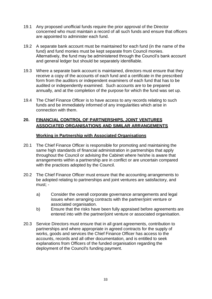- 19.1 Any proposed unofficial funds require the prior approval of the Director concerned who must maintain a record of all such funds and ensure that officers are appointed to administer each fund.
- 19.2 A separate bank account must be maintained for each fund (in the name of the fund) and fund monies must be kept separate from Council monies. Alternatively, the fund may be administered through the Council's bank account and general ledger but should be separately identifiable.
- 19.3 Where a separate bank account is maintained, directors must ensure that they receive a copy of the accounts of each fund and a certificate in the prescribed form from the auditors or independent examiners of each fund that has to be audited or independently examined. Such accounts are to be prepared annually, and at the completion of the purpose for which the fund was set up.
- 19.4 The Chief Finance Officer is to have access to any records relating to such funds and be immediately informed of any irregularities which arise in connection with them.

# **20. FINANCIAL CONTROL OF PARTNERSHIPS, JOINT VENTURES ASSOCIATED ORGANISATIONS AND SIMILAR ARRANGEMENTS**

## **Working in Partnership with Associated Organisations**

- 20.1 The Chief Finance Officer is responsible for promoting and maintaining the same high standards of financial administration in partnerships that apply throughout the Council or advising the Cabinet where he/she is aware that arrangements within a partnership are in conflict or are uncertain compared with the practices adopted by the Council.
- 20.2 The Chief Finance Officer must ensure that the accounting arrangements to be adopted relating to partnerships and joint ventures are satisfactory, and must;
	- a) Consider the overall corporate governance arrangements and legal issues when arranging contracts with the partner/joint venture or associated organisation.
	- b) Ensure that the risks have been fully appraised before agreements are entered into with the partner/joint venture or associated organisation.
- 20.3 Service Directors must ensure that in all grant agreements, contribution to partnerships and where appropriate in agreed contracts for the supply of works, goods and services the Chief Finance Officer has access to the accounts, records and all other documentation, and is entitled to seek explanations from Officers of the funded organisation regarding the deployment of the Council's funding payment.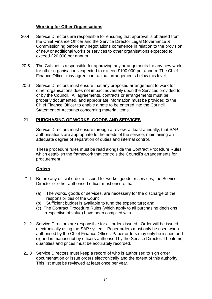## **Working for Other Organisations**

- 20.4 Service Directors are responsible for ensuring that approval is obtained from the Chief Finance Officer and the Service Director Legal Governance & Commissioning before any negotiations commence in relation to the provision of new or additional works or services to other organisations expected to exceed £20,000 per annum.
- 20.5 The Cabinet is responsible for approving any arrangements for any new work for other organisations expected to exceed £100,000 per annum. The Chief Finance Officer may agree contractual arrangements below this level
- 20.6 Service Directors must ensure that any proposed arrangement to work for other organisations does not impact adversely upon the Services provided to or by the Council. All agreements, contracts or arrangements must be properly documented, and appropriate information must be provided to the Chief Finance Officer to enable a note to be entered into the Council Statement of Accounts concerning material items.

## **21. PURCHASING OF WORKS, GOODS AND SERVICES**

Service Directors must ensure through a review, at least annually, that SAP authorisations are appropriate to the needs of the service, maintaining an adequate degree of separation of duties and internal control.

These procedure rules must be read alongside the Contract Procedure Rules which establish the framework that controls the Council's arrangements for procurement

#### **Orders**

- 21.1 Before any official order is issued for works, goods or services, the Service Director or other authorised officer must ensure that
	- (a) The works, goods or services, are necessary for the discharge of the responsibilities of the Council
	- (b) Sufficient budget is available to fund the expenditure; and
	- (c) The Contract Procedure Rules (which apply to all purchasing decisions irrespective of value) have been complied with.
- 21.2 Service Directors are responsible for all orders issued. Order will be issued electronically using the SAP system. Paper orders must only be used when authorised by the Chief Finance Officer. Paper orders may only be issued and signed in manuscript by officers authorised by the Service Director. The items, quantities and prices must be accurately recorded.
- 21.3 Service Directors must keep a record of who is authorised to sign order documentation or issue orders electronically and the extent of this authority. This list must be reviewed at least once per year.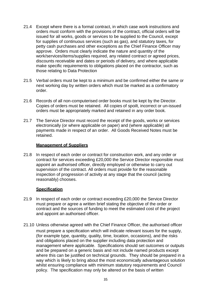- 21.4 Except where there is a formal contract, in which case work instructions and orders must conform with the provisions of the contract, official orders will be issued for all works, goods or services to be supplied to the Council, except for supplies of continuous services (such as gas), and statutory taxes, for petty cash purchases and other exceptions as the Chief Finance Officer may approve. Orders must clearly indicate the nature and quantity of the work/services/items/supplies required, any related contract or agreed prices, discounts receivable and dates or periods of delivery, and where applicable make specific requirements to obligations placed on the contractor, such as those relating to Data Protection
- 21.5 Verbal orders must be kept to a minimum and be confirmed either the same or next working day by written orders which must be marked as a confirmatory order.
- 21.6 Records of all non-computerised order books must be kept by the Director. Copies of orders must be retained. All copies of spoilt, incorrect or un-issued orders must be appropriately marked and retained in any order book.
- 21.7 The Service Director must record the receipt of the goods, works or services electronically (or where applicable on paper) and (where applicable) all payments made in respect of an order. All Goods Received Notes must be retained.

#### **Management of Suppliers**

21.8 In respect of each order or contract for construction work, and any order or contract for services exceeding £20,000 the Service Director responsible must appoint an authorised officer, directly employed or otherwise to carry out supervision of the contract. All orders must provide for the reasonable inspection of progression of activity at any stage that the council (acting reasonably) chooses.

## **Specification**

- 21.9 In respect of each order or contract exceeding £20,000 the Service Director must prepare or agree a written brief stating the objective of the order or contract and the sources of funding to meet the estimated cost of the project and appoint an authorised officer.
- 21.10 Unless otherwise agreed with the Chief Finance Officer, the authorised officer must prepare a specification which will indicate relevant issues for the supply, (for example type, quantity, quality, time, location, occasions), and the risks and obligations placed on the supplier including data protection and management where applicable. Specifications should set outcomes or outputs and be prepared on a generic basis and not include named products except where this can be justified on technical grounds. They should be prepared in a way which is likely to bring about the most economically advantageous solution whilst ensuring compliance with minimum statutory requirements and Council policy. The specification may only be altered on the basis of written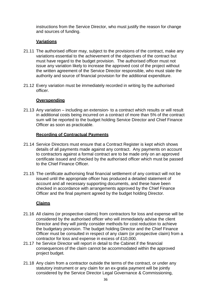instructions from the Service Director, who must justify the reason for change and sources of funding.

## **Variations**

- 21.11 The authorised officer may, subject to the provisions of the contract, make any variations essential to the achievement of the objectives of the contract but must have regard to the budget provision. The authorised officer must not issue any variation likely to increase the approved cost of the project without the written agreement of the Service Director responsible, who must state the authority and source of financial provision for the additional expenditure.
- 21.12 Every variation must be immediately recorded in writing by the authorised officer.

#### **Overspending**

21.13 Any variation – including an extension- to a contract which results or will result in additional costs being incurred on a contract of more than 5% of the contract sum will be reported to the budget holding Service Director and Chief Finance Officer as soon as practicable.

#### **Recording of Contractual Payments**

- 21.14 Service Directors must ensure that a Contract Register is kept which shows details of all payments made against any contract. Any payments on account to contractors against a formal contract are to be made only on an approved certificate issued and checked by the authorised officer which must be passed to the Chief Finance Officer.
- 21.15 The certificate authorising final financial settlement of any contract will not be issued until the appropriate officer has produced a detailed statement of account and all necessary supporting documents, and these have been checked in accordance with arrangements approved by the Chief Finance Officer and the final payment agreed by the budget holding Director.

#### **Claims**

- 21.16 All claims (or prospective claims) from contractors for loss and expense will be considered by the authorised officer who will immediately advise the client Director and they will jointly consider methods for cost reduction to achieve the budgetary provision. The budget holding Director and the Chief Finance Officer must be consulted in respect of any claim (or prospective claim) from a contractor for loss and expense in excess of £10,000.
- 21.17 he Service Director will report in detail to the Cabinet if the financial consequences of the claim cannot be accommodated within the approved project budget.
- 21.18 Any claim from a contractor outside the terms of the contract, or under any statutory instrument or any claim for an ex-gratia payment will be jointly considered by the Service Director Legal Governance & Commissioning,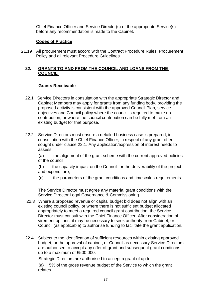Chief Finance Officer and Service Director(s) of the appropriate Service(s) before any recommendation is made to the Cabinet.

## **Code***s* **of Practice**

21.19 All procurement must accord with the Contract Procedure Rules, Procurement Policy and all relevant Procedure Guidelines*.*

## **22. GRANTS TO AND FROM THE COUNCIL AND LOANS FROM THE COUNCIL**

## **Grants Receivable**

- 22.1 Service Directors in consultation with the appropriate Strategic Director and Cabinet Members may apply for grants from any funding body, providing the proposed activity is consistent with the approved Council Plan, service objectives and Council policy where the council is required to make no contribution, or where the council contribution can be fully met from an existing budget for that purpose.
- 22.2 Service Directors must ensure a detailed business case is prepared, in consultation with the Chief Finance Officer, in respect of any grant offer sought under clause 22.1. Any application/expression of interest needs to assess

(a) the alignment of the grant scheme with the current approved policies of the council

(b) the capacity impact on the Council for the deliverability of the project and expenditure,

(c) the parameters of the grant conditions and timescales requirements

 The Service Director must agree any material grant conditions with the Service Director Legal Governance & Commissioning.

- 22.3 Where a proposed revenue or capital budget bid does not align with an existing council policy, or where there is not sufficient budget allocated appropriately to meet a required council grant contribution, the Service Director must consult with the Chief Finance Officer. After consideration of virement options, it may be necessary to seek authority from Cabinet, or Council (as applicable) to authorise funding to facilitate the grant application.
- 22.4 Subject to the identification of sufficient resources within existing approved budget, or the approval of cabinet, or Council as necessary Service Directors are authorised to accept any offer of grant and subsequent grant conditions up to a maximum of £500,000.

Strategic Directors are authorised to accept a grant of up to

(a) 5% of the gross revenue budget of the Service to which the grant relates.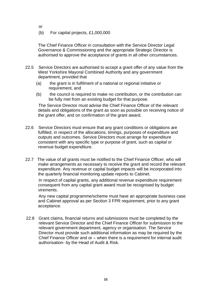or

(b) For capital projects, £1,000,000

The Chief Finance Officer in consultation with the Service Director Legal Governance & Commissioning and the appropriate Strategic Director is authorised to approve the acceptance of grants in all other circumstances.

- 22.5 Service Directors are authorised to accept a grant offer of any value from the West Yorkshire Mayoral Combined Authority and any government department, provided that
	- (a) the grant is in fulfilment of a national or regional initiative or requirement, and
	- (b) the council is required to make no contribution, or the contribution can be fully met from an existing budget for that purpose.

 The Service Director must advise the Chief Finance Officer of the relevant details and obligations of the grant as soon as possible on receiving notice of the grant offer, and on confirmation of the grant award.

- 22.6 Service Directors must ensure that any grant conditions or obligations are fulfilled, in respect of the allocations, timings, purposes of expenditure and outputs and outcomes. Service Directors must arrange for expenditure consistent with any specific type or purpose of grant, such as capital or revenue budget expenditure.
- 22.7 The value of all grants must be notified to the Chief Finance Officer, who will make arrangements as necessary to receive the grant and record the relevant expenditure. Any revenue or capital budget impacts will be incorporated into the quarterly financial monitoring update reports to Cabinet.

In respect of capital grants, any additional revenue expenditure requirement consequent from any capital grant award must be recognised by budget virements.

Any new capital programme/scheme must have an appropriate business case and Cabinet approval as per Section 3 FPR requirement, prior to any grant acceptance.

22.8 Grant claims, financial returns and submissions must be completed by the relevant Service Director and the Chief Finance Officer for submission to the relevant government department, agency or organisation. The Service Director must provide such additional information as may be required by the Chief Finance Officer and or – when there is a requirement for internal audit authorisation- by the Head of Audit & Risk.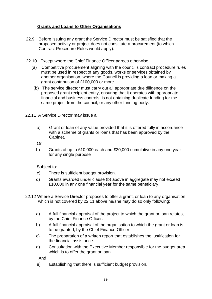# **Grants and Loans to Other Organisations**

- 22.9 Before issuing any grant the Service Director must be satisfied that the proposed activity or project does not constitute a procurement (to which Contract Procedure Rules would apply).
- 22.10 Except where the Chief Finance Officer agrees otherwise:
	- (a) Competitive procurement aligning with the council's contract procedure rules must be used in respect of any goods, works or services obtained by another organisation, where the Council is providing a loan or making a grant contribution of £100,000 or more.
		- (b) The service director must carry out all appropriate due diligence on the proposed grant recipient entity, ensuring that it operates with appropriate financial and business controls, is not obtaining duplicate funding for the same project from the council, or any other funding body.
- 22.11 A Service Director may issue a:
	- a) Grant or loan of any value provided that it is offered fully in accordance with a scheme of grants or loans that has been approved by the Cabinet.

Or

b) Grants of up to £10,000 each and £20,000 cumulative in any one year for any single purpose

Subject to:

- c) There is sufficient budget provision.
- d) Grants awarded under clause (b) above in aggregate may not exceed £10,000 in any one financial year for the same beneficiary.
- 22.12 Where a Service Director proposes to offer a grant, or loan to any organisation which is not covered by 22.11 above he/she may do so only following:
	- a) A full financial appraisal of the project to which the grant or loan relates, by the Chief Finance Officer.
	- b) A full financial appraisal of the organisation to which the grant or loan is to be granted, by the Chief Finance Officer.
	- c) The preparation of a written report that establishes the justification for the financial assistance.
	- d) Consultation with the Executive Member responsible for the budget area which is to offer the grant or loan.

And

e) Establishing that there is sufficient budget provision.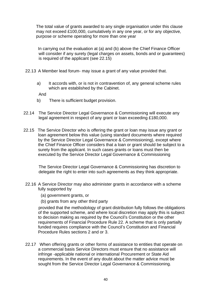The total value of grants awarded to any single organisation under this clause may not exceed £100,000, cumulatively in any one year, or for any objective, purpose or scheme operating for more than one year

In carrying out the evaluation at (a) and (b) above the Chief Finance Officer will consider if any surety (legal charges on assets, bonds and or guarantees) is required of the applicant (see 22.15)

- 22.13 A Member lead forum- may issue a grant of any value provided that.
	- a) It accords with, or is not in contravention of, any general scheme rules which are established by the Cabinet.

And

- b) There is sufficient budget provision.
- 22.14 The Service Director Legal Governance & Commissioning will execute any legal agreement in respect of any grant or loan exceeding £180,000.
- 22.15 The Service Director who is offering the grant or loan may issue any grant or loan agreement below this value (using standard documents where required by the Service Director Legal Governance & Commissioning), except where the Chief Finance Officer considers that a loan or grant should be subject to a surety from the applicant. In such cases grants or loans must then be executed by the Service Director Legal Governance & Commissioning

The Service Director Legal Governance & Commissioning has discretion to delegate the right to enter into such agreements as they think appropriate.

- 22.16 A Service Director may also administer grants in accordance with a scheme fully supported by
	- (a) government grants, or
	- (b) grants from any other third party

 provided that the methodology of grant distribution fully follows the obligations of the supported scheme, and where local discretion may apply this is subject to decision making as required by the Council's Constitution or the other requirements of Financial Procedure Rule 22. A scheme that is only partially funded requires compliance with the Council's Constitution and Financial Procedure Rules sections 2 and or 3.

22.17 When offering grants or other forms of assistance to entities that operate on a commercial basis Service Directors must ensure that no assistance will infringe -applicable national or international Procurement or State Aid requirements. In the event of any doubt about the matter advice must be sought from the Service Director Legal Governance & Commissioning.